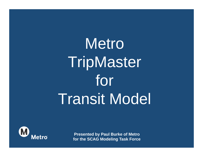## Metro **TripMaster** for Transit Model



**Presented by Paul Burke of Metro for the SCAG Modeling Task Force**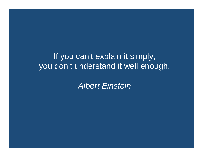If you can't explain it simply, you don't understand it well enough.

*Albert Einstein*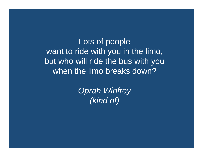Lots of people want to ride with you in the limo, but who will ride the bus with you when the limo breaks down?

> *Oprah Winfrey (kind of)*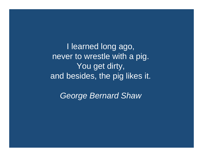I learned long ago, never to wrestle with a pig. You get dirty, and besides, the pig likes it.

*George Bernard Shaw*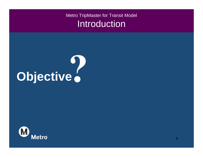

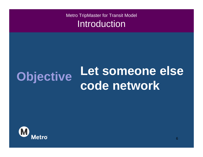## **Objective** Let someone else<br> **Code network**

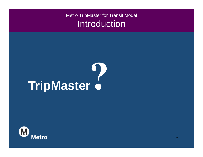# **TripMaster**

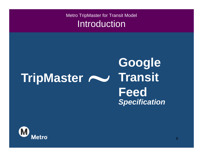#### **TripMaster Google Transit Feed** *Specification*

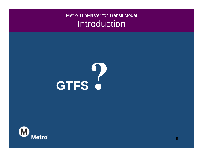

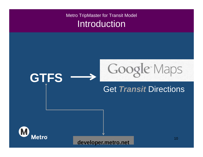## **GTFS** Google Maps Get *Transit* Directions



**developer.metro.net**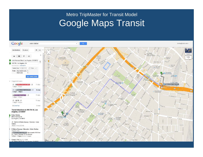#### Metro TripMaster for Transit Model Google Maps Transit

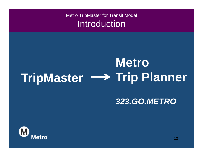## **TripMaster Trip Planner Metro**

#### *323.GO.METRO*

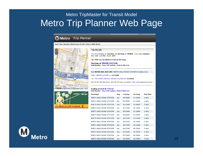#### Metro TripMaster for Transit Model Metro Trip Planner Web Page



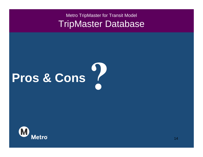# **Pros & Cons**

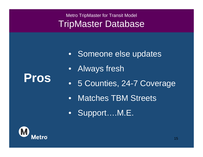- Someone else updates
- $\bullet$ Always fresh
- •5 Counties, 24-7 Coverage
- $\bullet$ Matches TBM Streets
- Support….M.E.



**Pros**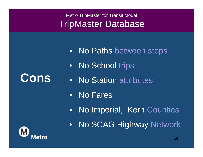- •No Paths between stops
- •No School trips
- No Station attributes
- $\bullet$ No Fares
- $\bullet$ No Imperial, Kern Counties
- •No SCAG Highway Network



**Cons**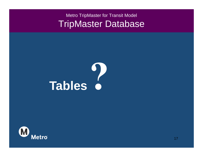# **Tables**

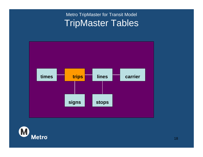

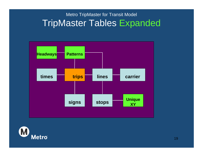#### Metro TripMaster for Transit Model TripMaster Tables Expanded



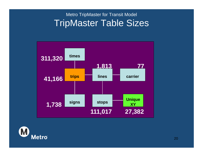#### Metro TripMaster for Transit Model TripMaster Table Sizes



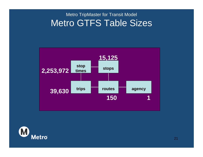#### Metro TripMaster for Transit Model Metro GTFS Table Sizes



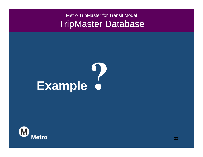# Example 6

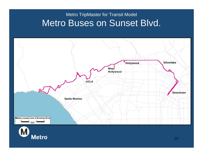#### Metro TripMaster for Transit Model Metro Buses on Sunset Blvd.

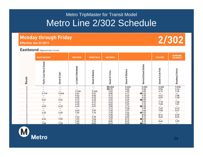#### Metro TripMaster for Transit Model Metro Line 2/302 Schedule

#### **Monday through Friday** Effective Jun 23 2013

#### 2/302

#### Eastbound (Approximate Times)

|                | <b>PACIFIC PALISADES</b>   |                          | <b>WESTWOOD</b>            | <b>BEVERLY HILLS</b> | <b>HOLLYWOOD</b>                   |                              |                                         | <b>ECHO PARK</b>   | <b>DOWNTOWN<br/>LOS ANGELES</b> |
|----------------|----------------------------|--------------------------|----------------------------|----------------------|------------------------------------|------------------------------|-----------------------------------------|--------------------|---------------------------------|
| Route          | Pacific Coast Hwy & Sunset | Sunset & Capri           | Le Conte & Westwood        | Sunset & Beverly     | Sunset & Fairfax                   | <b>Sunset &amp; Western</b>  | Vermont/Sunset Station                  | Sunset & Echo Park | <b>Broadway &amp; Venice</b>    |
| 2              | $\qquad \qquad$            | $\overline{\phantom{0}}$ | -                          | -                    | <b>EI5:06A</b>                     | 5:20A                        | 5:25A                                   | 5:36A              | 5:53A                           |
| $\overline{2}$ |                            |                          |                            |                      |                                    |                              |                                         | 5:56               |                                 |
|                |                            |                          |                            |                      |                                    |                              |                                         | 6:16               | $6:14$<br>$6:34$                |
|                | 5:11A                      | 5:24A                    | 5:24A<br>5:41              | 5:34A<br>5:51        | $\overline{45:25}$<br>5:45<br>6:02 | 5:40<br>6:00<br>6:17         | $5:45$<br>$6:05$<br>$\blacksquare 6:22$ |                    |                                 |
|                |                            |                          | 5:53                       | 6:03                 | 6:14                               | 6:29                         | 6:35                                    | $6:47$<br>$6:57$   | 7:08                            |
|                | $\qquad \qquad$            |                          | 6:02                       | 6:12                 | 6:23                               | 6:39                         |                                         |                    | 7:18                            |
|                | 5:41                       | 5:54                     | $6:12$<br>$6:20$<br>$6:30$ | 6:22                 | $6:33$<br>$6:43$<br>$6:53$         | $6:49$<br>$6:59$             | $6:45$<br>16:55<br>7:05                 |                    |                                 |
|                |                            | $\overline{\phantom{0}}$ |                            | 6:31                 |                                    |                              |                                         | $7:18$<br>$7:28$   | 7:40                            |
|                |                            | $\overline{\phantom{0}}$ |                            | 6:41                 |                                    | 7:09                         | 7:15                                    |                    | 7:51                            |
|                | 6:09                       | 6:22                     | 6:40                       | 6:51                 | 7:03<br>7:12<br>7:20<br>7:29       | 7:19                         | $\Pi$ 7:25                              |                    |                                 |
|                |                            |                          |                            |                      |                                    |                              |                                         | $7:49$<br>$7:58$   | $8:12$<br>$8:21$                |
|                |                            |                          |                            |                      |                                    |                              |                                         |                    |                                 |
|                | 6:30                       | 6:45                     | $6:55$<br>$7:04$           | $7:07$<br>$7:16$     |                                    |                              |                                         |                    |                                 |
|                |                            |                          |                            |                      | 7:38                               | 7:28<br>7:37<br>7:46<br>7:55 | $7:35$<br>$7:44$<br>$17:53$<br>8:02     | 8:16               | 8:39                            |
|                |                            |                          |                            | 7:35                 | 7:48                               | 8:05                         | 8:12                                    | 8:26               | 8:49                            |
|                | 6:53                       | 7:09                     | $7:23$<br>$7:32$           | 7:44                 | 7:57                               | 8:15                         | 18:22                                   |                    |                                 |
|                |                            |                          | 7:40                       | 7:52                 | 8:06                               | 8:25                         | 8:32                                    | 8:46               | 9:09                            |
|                | 7:08                       | 7:25                     | 7:50                       | 8:02                 | 8:16                               | 8:35                         | $\Pi$ 8:42                              |                    | —                               |

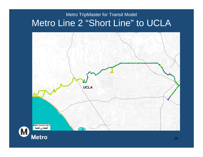#### Metro TripMaster for Transit Model Metro Line 2 "Short Line" to UCLA

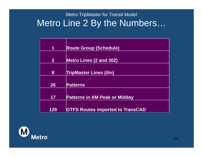#### Metro TripMaster for Transit Model Metro Line 2 By the Numbers…

| 1            | <b>Route Group (Schedule)</b>           |
|--------------|-----------------------------------------|
|              |                                         |
| $\mathbf{2}$ | <b>Metro Lines (2 and 302)</b>          |
|              |                                         |
| 8            | <b>TripMaster Lines (ilin)</b>          |
|              |                                         |
| 26           | <b>Patterns</b>                         |
|              |                                         |
| 17           | <b>Patterns in AM Peak or Midday</b>    |
|              |                                         |
|              |                                         |
| 129          | <b>GTFS Routes imported to TransCAD</b> |

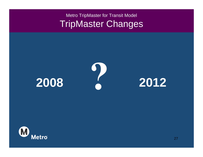#### Metro TripMaster for Transit Model TripMaster Changes



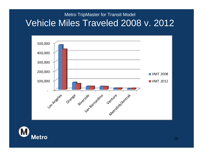#### Metro TripMaster for Transit Model Vehicle Miles Traveled 2008 v. 2012



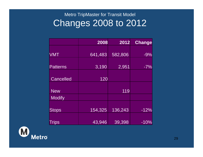#### Metro TripMaster for Transit Model Changes 2008 to 2012

|                  | 2008    | 2012    | <b>Change</b> |
|------------------|---------|---------|---------------|
| <b>VMT</b>       | 641,483 | 582,806 | $-9%$         |
|                  |         |         |               |
| <b>Patterns</b>  | 3,190   | 2,951   | $-7%$         |
|                  |         |         |               |
| <b>Cancelled</b> | 120     |         |               |
|                  |         |         |               |
| <b>New</b>       |         | 119     |               |
| <b>Modify</b>    |         |         |               |
|                  |         |         |               |
| <b>Stops</b>     | 154,325 | 136,243 | $-12%$        |
|                  |         |         |               |
| Trips            | 43,946  | 39,398  | $-10%$        |

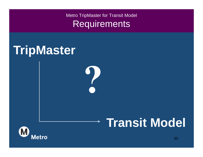$\rightarrow$ 

### **TripMaster**

## **Transit Model**

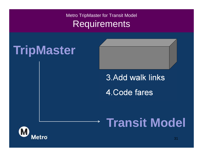## **TripMaster**

3.Add walk links 4.Code fares

2.Calc Headways

1.Trace stops

## **Transit Model**

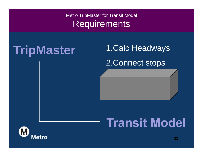### **TripMaster**

1.Calc Headways 2.Connect stops

3.Add walk links

## **Transit Model**

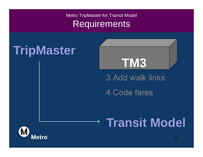## **TripMaster**



3.Add walk links

4.Code fares

## **Transit Model**

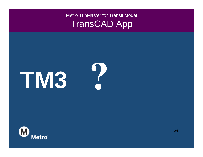#### Metro TripMaster for Transit Model TransCAD App

# **TM3**

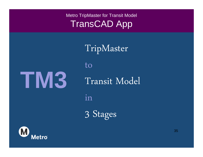#### Metro TripMaster for Transit Model TransCAD App

TripMaster

to

Transit Model

in

3 Stages



**TM3**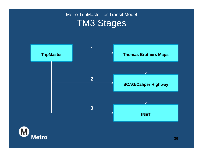#### Metro TripMaster for Transit Model TM3 Stages



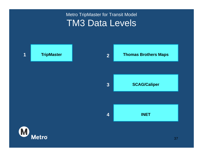#### Metro TripMaster for Transit Model TM3 Data Levels

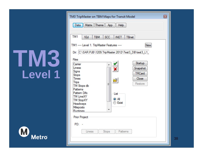

| <b>TM3 TripMaster on TBM Maps for Transit Model</b>                        | ⊡ |  |  |  |
|----------------------------------------------------------------------------|---|--|--|--|
| Data<br>Matrix Theme App<br><b>Help</b>                                    |   |  |  |  |
| TM <sub>1</sub><br><b>TBM</b><br><b>SCC</b><br><b>INET</b><br>1Ed<br>TBnet |   |  |  |  |
| TM1 ----- Level 1. TripMaster Features -----<br>New                        |   |  |  |  |
| Dir: C:\SAR.PJB\1209.TripMaster.2012\Test3_DB\test3_L1_                    |   |  |  |  |
| Files<br>Startup                                                           |   |  |  |  |
| Camer<br>Linesx<br>Snapshot                                                |   |  |  |  |
| Signs<br><b>TRCard</b><br>Stops                                            |   |  |  |  |
| <b>Times</b><br>Close<br><b>Trips</b><br>Restore<br>Ξ                      |   |  |  |  |
| TM Stops db<br>Pattems                                                     |   |  |  |  |
| Pattem Difs<br>List<br><b>TM LineXY</b>                                    |   |  |  |  |
| o Al<br><b>TM StopXY</b><br>Exist<br>Headways                              |   |  |  |  |
| Mileposts<br>Runtimes                                                      |   |  |  |  |
| Prior Project                                                              |   |  |  |  |
| $PD:$ -                                                                    |   |  |  |  |
| Pattems<br>Linesx<br>Stops                                                 |   |  |  |  |
|                                                                            |   |  |  |  |
|                                                                            |   |  |  |  |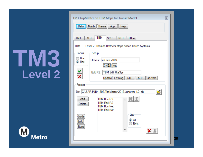

| TM3 TripMaster on TBM Maps for Transit Model<br>図                                                    |  |  |  |  |  |
|------------------------------------------------------------------------------------------------------|--|--|--|--|--|
| Matrix Theme App<br>Help<br>Data                                                                     |  |  |  |  |  |
| TBM<br>1Ed<br><b>SCC</b><br>TM <sub>1</sub><br><b>INET</b><br>TBnet                                  |  |  |  |  |  |
| TBM ----- Level 2. Thomas Brothers Maps based Route Systems -----                                    |  |  |  |  |  |
| Focus<br>Setup<br>Bus<br>Streets: tml mta 2009                                                       |  |  |  |  |  |
| o) Rail<br>C-N2S Net                                                                                 |  |  |  |  |  |
| Edit RS: TBM Edit RteSys<br>Update Err.Msg   SRT<br><b>XRS</b><br>srt2tbm                            |  |  |  |  |  |
| Project                                                                                              |  |  |  |  |  |
| Dir: C:\SAR.PJB\1307.TripMaster.2013.June\tm_L2_db<br>$\overline{\phantom{a}}$                       |  |  |  |  |  |
| 畫扭<br>Add<br><b>TBM Bus RS</b><br>TBM Rail RS<br>Delete<br><b>TBM Bus Net</b><br><b>TBM Rail Net</b> |  |  |  |  |  |
| List<br>Guide<br>o Al<br><b>Build</b><br>Exist<br><b>Stops</b>                                       |  |  |  |  |  |
|                                                                                                      |  |  |  |  |  |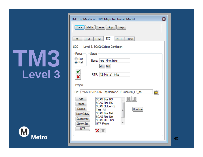

|                        | TM3 TripMaster on TBM Maps for Transit Model                                                  | $\blacksquare$ |
|------------------------|-----------------------------------------------------------------------------------------------|----------------|
| Data                   | Matrix Theme App<br>Help                                                                      |                |
| TM <sub>1</sub><br>1Ed | SCC<br><b>TBM</b><br><b>INET</b><br>TBnet<br>SCC ----- Level 3. SCAG/Caliper Conflation ----- |                |
| Focus<br>Setup         |                                                                                               |                |
| ◯ Bus<br>O Rail        | Base: nps_Mnet links                                                                          |                |
|                        | xCC Net                                                                                       |                |
|                        | RTP: 12r14p_a1_links                                                                          |                |
|                        |                                                                                               |                |
| Project                |                                                                                               |                |
|                        | Dir: C:\SAR.PJB\1307.TripMaster.2013.June\tm_L3_db<br>Ò                                       |                |
| Add<br><b>Stops</b>    | <b>SCAG Bus RS</b><br><b>SCAG Rail RS</b>                                                     |                |
| <b>Delete</b>          | <b>SCAG Guide RS</b><br>Runtime<br>Test RS<br>Ξ                                               |                |
| New Gdwy               | <b>SCAG Bus Net</b><br><b>SCAG Rail Net</b>                                                   |                |
| Guideway<br>Gdwy Stp   | <b>SCAG UTP RS</b><br><b>UTP Fmors</b>                                                        |                |
| <b>UTP</b>             |                                                                                               |                |
|                        |                                                                                               |                |
|                        |                                                                                               |                |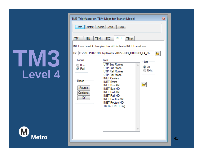

| Matrix Theme App<br>Data<br>Help<br>INET<br><b>SCC</b><br>TM <sub>1</sub><br><b>TBM</b><br>1Ed<br>TBnet<br>INET ----- Level 4. Tranplan Transit Routes in INET Format -----<br>Dir: C:\SAR.PJB\1209.TripMaster.2012\Test3_DB\test3_L4_db<br>ò<br><b>Files</b><br>Focus<br>List<br><b>UTP Bus Routes</b><br>◯ Bus<br>o ai<br><b>UTP Bus Stops</b><br>O Rail<br>Exist<br><b>UTP Rail Routes</b><br><b>UTP Rail Stops</b><br><b>INET Camers</b><br>Export<br><b>INET Errors</b> | TM3 TripMaster on TBM Maps for Transit Model | $\boxed{\Xi}$ |
|------------------------------------------------------------------------------------------------------------------------------------------------------------------------------------------------------------------------------------------------------------------------------------------------------------------------------------------------------------------------------------------------------------------------------------------------------------------------------|----------------------------------------------|---------------|
|                                                                                                                                                                                                                                                                                                                                                                                                                                                                              |                                              |               |
|                                                                                                                                                                                                                                                                                                                                                                                                                                                                              |                                              |               |
| Routes<br><b>INET Bus MD</b><br><b>INET Rail AM</b><br>Combine<br><b>INET Rail MD</b><br>ΧY<br><b>INET Routes AM</b><br><b>INET Routes MD</b><br>TMTC 2 INET Log                                                                                                                                                                                                                                                                                                             | <b>INET Bus AM</b>                           |               |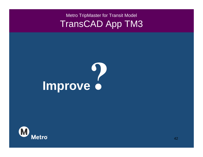#### Metro TripMaster for Transit Model TransCAD App TM3

# **Improve**

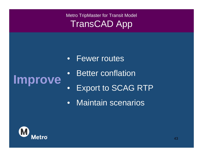#### Metro TripMaster for Transit Model TransCAD App

• Fewer routes

#### $\bullet$ **Improve**

- Better conflation
- •Export to SCAG RTP
- $\bullet$ Maintain scenarios

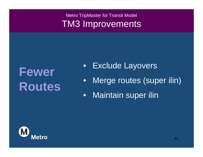## **Fewer Routes**

- •Exclude Layovers
- $\bullet$ Merge routes (super ilin)
- $\bullet$ Maintain super ilin

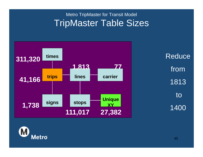#### Metro TripMaster for Transit Model TripMaster Table Sizes



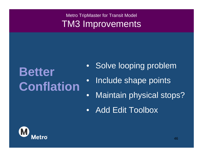## **Better Conflation**

- Solve looping problem
- •Include shape points
- •Maintain physical stops?
- $\bullet$ Add Edit Toolbox

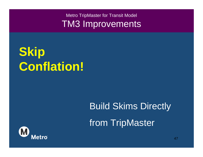**Skip Conflation!**

## Build Skims Directly from TripMaster

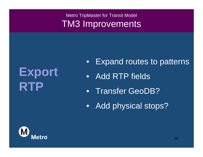### **Export RTP**

- $\bullet$ Expand routes to patterns
- Add RTP fields
- Transfer GeoDB?
- •Add physical stops?

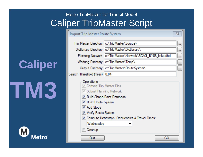#### Metro TripMaster for Transit Model Caliper TripMaster Script

**Caliper**

**TM3**

Metro

| Import Trip Master Route System                                                                                                                                       |                                                                                 | ΣS            |
|-----------------------------------------------------------------------------------------------------------------------------------------------------------------------|---------------------------------------------------------------------------------|---------------|
|                                                                                                                                                                       | Trip Master Directory  c:\TripMaster\Source\                                    |               |
|                                                                                                                                                                       | Dictionary Directory  c:\TripMaster\Dictionary\                                 | $\frac{1}{2}$ |
|                                                                                                                                                                       | Planning Network   c:\TripMaster\Network\SCAG BY08 links.dbd                    |               |
|                                                                                                                                                                       | Working Directory   c:\TripMaster\Temp\                                         | in.           |
|                                                                                                                                                                       | Output Directory  c:\TripMaster\RouteSystem\                                    | $\frac{1}{2}$ |
| Search Threshold (miles) 0.04                                                                                                                                         |                                                                                 |               |
| Operations<br>√ Convert Trip Master Files<br>V Subset Planning Network<br>V Build Route System<br><b>√</b> Add Stops<br>V Verify Route System<br>Wednesday<br>Cleanup | V Build Shape Point Database<br>V Compute Headways, Frequencies & Travel Times: |               |
| Quit                                                                                                                                                                  | GO                                                                              |               |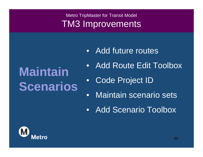## **Maintain Scenarios**

- Add future routes
- $\bullet$ Add Route Edit Toolbox
- $\bullet$ Code Project ID
- $\bullet$ Maintain scenario sets
- Add Scenario Toolbox